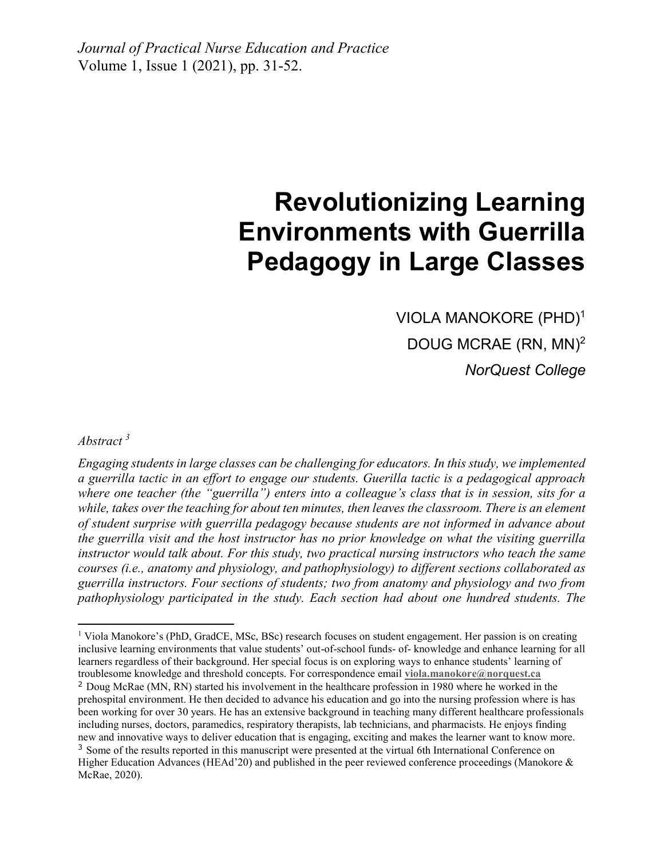# **Revolutionizing Learning Environments with Guerrilla Pedagogy in Large Classes**

VIOLA MANOKORE (PHD)<sup>1</sup> DOUG MCRAE (RN, MN)<sup>2</sup> *NorQuest College*

*Abstract <sup>3</sup>*

1

*Engaging students in large classes can be challenging for educators. In this study, we implemented a guerrilla tactic in an effort to engage our students. Guerilla tactic is a pedagogical approach where one teacher (the "guerrilla") enters into a colleague's class that is in session, sits for a while, takes over the teaching for about ten minutes, then leaves the classroom. There is an element of student surprise with guerrilla pedagogy because students are not informed in advance about the guerrilla visit and the host instructor has no prior knowledge on what the visiting guerrilla instructor would talk about. For this study, two practical nursing instructors who teach the same courses (i.e., anatomy and physiology, and pathophysiology) to different sections collaborated as guerrilla instructors. Four sections of students; two from anatomy and physiology and two from pathophysiology participated in the study. Each section had about one hundred students. The* 

<sup>&</sup>lt;sup>1</sup> Viola Manokore's (PhD, GradCE, MSc, BSc) research focuses on student engagement. Her passion is on creating inclusive learning environments that value students' out-of-school funds- of- knowledge and enhance learning for all learners regardless of their background. Her special focus is on exploring ways to enhance students' learning of troublesome knowledge and threshold concepts. For correspondence email **[viola.manokore@norquest.ca](mailto:viola.manokore@norquest.ca)**

<sup>&</sup>lt;sup>2</sup> Doug McRae (MN, RN) started his involvement in the healthcare profession in 1980 where he worked in the prehospital environment. He then decided to advance his education and go into the nursing profession where is has been working for over 30 years. He has an extensive background in teaching many different healthcare professionals including nurses, doctors, paramedics, respiratory therapists, lab technicians, and pharmacists. He enjoys finding new and innovative ways to deliver education that is engaging, exciting and makes the learner want to know more. <sup>3</sup> Some of the results reported in this manuscript were presented at the virtual 6th International Conference on

Higher Education Advances (HEAd'20) and published in the peer reviewed conference proceedings (Manokore & McRae, 2020).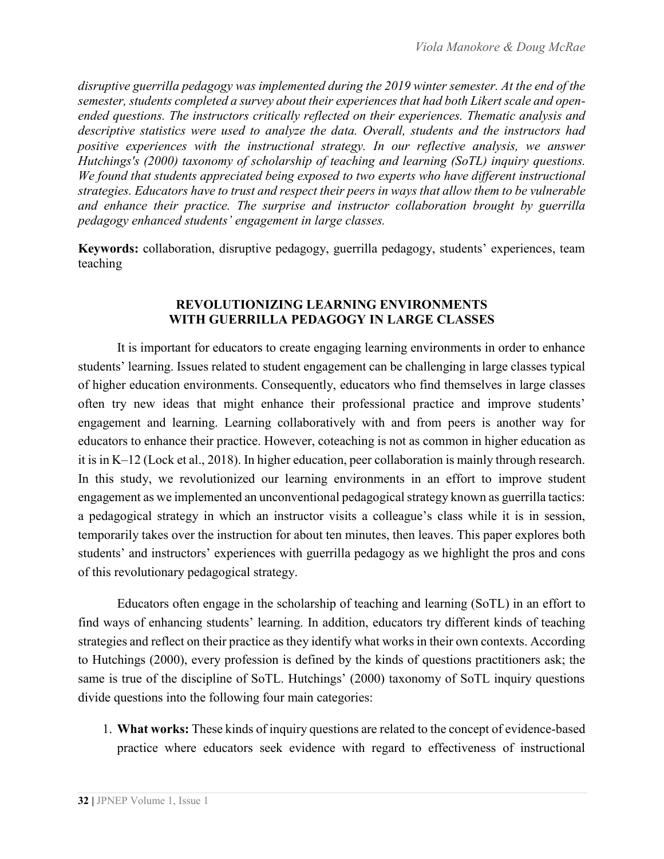*disruptive guerrilla pedagogy was implemented during the 2019 winter semester. At the end of the semester, students completed a survey about their experiences that had both Likert scale and openended questions. The instructors critically reflected on their experiences. Thematic analysis and descriptive statistics were used to analyze the data. Overall, students and the instructors had positive experiences with the instructional strategy. In our reflective analysis, we answer Hutchings's (2000) taxonomy of scholarship of teaching and learning (SoTL) inquiry questions. We found that students appreciated being exposed to two experts who have different instructional strategies. Educators have to trust and respect their peers in ways that allow them to be vulnerable and enhance their practice. The surprise and instructor collaboration brought by guerrilla pedagogy enhanced students' engagement in large classes.*

**Keywords:** collaboration, disruptive pedagogy, guerrilla pedagogy, students' experiences, team teaching

## **REVOLUTIONIZING LEARNING ENVIRONMENTS WITH GUERRILLA PEDAGOGY IN LARGE CLASSES**

It is important for educators to create engaging learning environments in order to enhance students' learning. Issues related to student engagement can be challenging in large classes typical of higher education environments. Consequently, educators who find themselves in large classes often try new ideas that might enhance their professional practice and improve students' engagement and learning. Learning collaboratively with and from peers is another way for educators to enhance their practice. However, coteaching is not as common in higher education as it is in K–12 (Lock et al., 2018). In higher education, peer collaboration is mainly through research. In this study, we revolutionized our learning environments in an effort to improve student engagement as we implemented an unconventional pedagogical strategy known as guerrilla tactics: a pedagogical strategy in which an instructor visits a colleague's class while it is in session, temporarily takes over the instruction for about ten minutes, then leaves. This paper explores both students' and instructors' experiences with guerrilla pedagogy as we highlight the pros and cons of this revolutionary pedagogical strategy.

Educators often engage in the scholarship of teaching and learning (SoTL) in an effort to find ways of enhancing students' learning. In addition, educators try different kinds of teaching strategies and reflect on their practice as they identify what works in their own contexts. According to Hutchings (2000), every profession is defined by the kinds of questions practitioners ask; the same is true of the discipline of SoTL. Hutchings' (2000) taxonomy of SoTL inquiry questions divide questions into the following four main categories:

1. **What works:** These kinds of inquiry questions are related to the concept of evidence-based practice where educators seek evidence with regard to effectiveness of instructional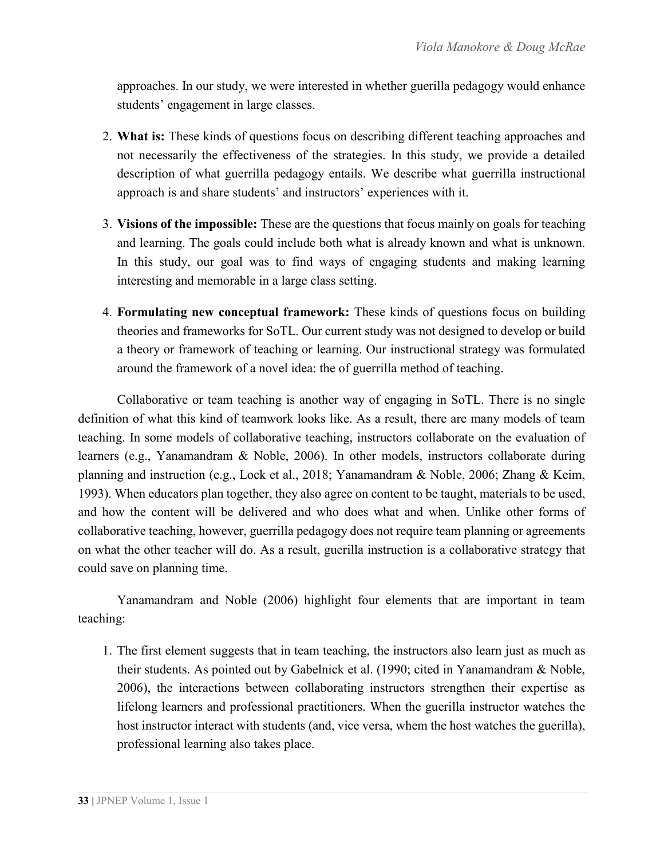approaches. In our study, we were interested in whether guerilla pedagogy would enhance students' engagement in large classes.

- 2. **What is:** These kinds of questions focus on describing different teaching approaches and not necessarily the effectiveness of the strategies. In this study, we provide a detailed description of what guerrilla pedagogy entails. We describe what guerrilla instructional approach is and share students' and instructors' experiences with it.
- 3. **Visions of the impossible:** These are the questions that focus mainly on goals for teaching and learning. The goals could include both what is already known and what is unknown. In this study, our goal was to find ways of engaging students and making learning interesting and memorable in a large class setting.
- 4. **Formulating new conceptual framework:** These kinds of questions focus on building theories and frameworks for SoTL. Our current study was not designed to develop or build a theory or framework of teaching or learning. Our instructional strategy was formulated around the framework of a novel idea: the of guerrilla method of teaching.

Collaborative or team teaching is another way of engaging in SoTL. There is no single definition of what this kind of teamwork looks like. As a result, there are many models of team teaching. In some models of collaborative teaching, instructors collaborate on the evaluation of learners (e.g., Yanamandram & Noble, 2006). In other models, instructors collaborate during planning and instruction (e.g., Lock et al., 2018; Yanamandram & Noble, 2006; Zhang & Keim, 1993). When educators plan together, they also agree on content to be taught, materials to be used, and how the content will be delivered and who does what and when. Unlike other forms of collaborative teaching, however, guerrilla pedagogy does not require team planning or agreements on what the other teacher will do. As a result, guerilla instruction is a collaborative strategy that could save on planning time.

Yanamandram and Noble (2006) highlight four elements that are important in team teaching:

1. The first element suggests that in team teaching, the instructors also learn just as much as their students. As pointed out by Gabelnick et al. (1990; cited in Yanamandram & Noble, 2006), the interactions between collaborating instructors strengthen their expertise as lifelong learners and professional practitioners. When the guerilla instructor watches the host instructor interact with students (and, vice versa, whem the host watches the guerilla), professional learning also takes place.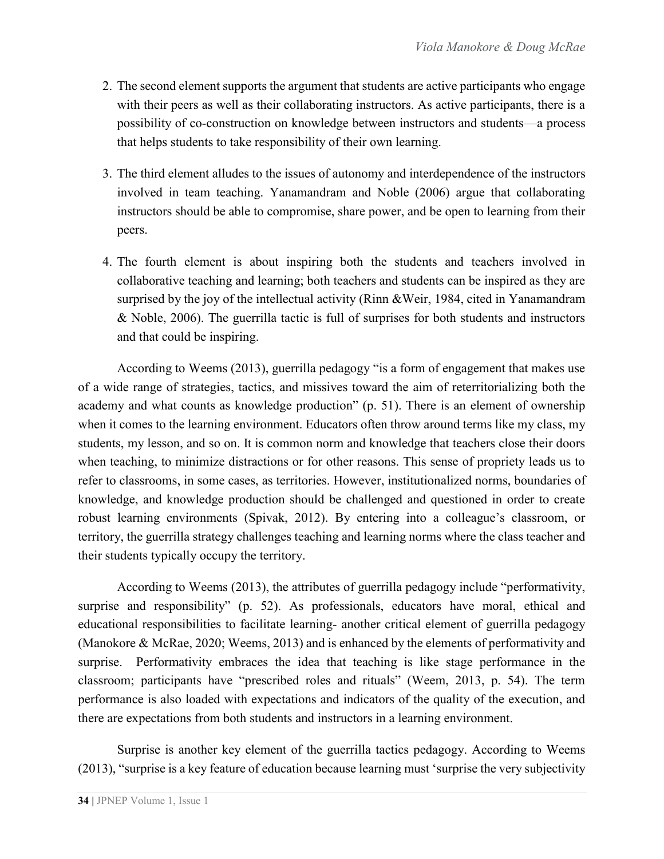- 2. The second element supports the argument that students are active participants who engage with their peers as well as their collaborating instructors. As active participants, there is a possibility of co-construction on knowledge between instructors and students—a process that helps students to take responsibility of their own learning.
- 3. The third element alludes to the issues of autonomy and interdependence of the instructors involved in team teaching. Yanamandram and Noble (2006) argue that collaborating instructors should be able to compromise, share power, and be open to learning from their peers.
- 4. The fourth element is about inspiring both the students and teachers involved in collaborative teaching and learning; both teachers and students can be inspired as they are surprised by the joy of the intellectual activity (Rinn &Weir, 1984, cited in Yanamandram & Noble, 2006). The guerrilla tactic is full of surprises for both students and instructors and that could be inspiring.

According to Weems (2013), guerrilla pedagogy "is a form of engagement that makes use of a wide range of strategies, tactics, and missives toward the aim of reterritorializing both the academy and what counts as knowledge production" (p. 51). There is an element of ownership when it comes to the learning environment. Educators often throw around terms like my class, my students, my lesson, and so on. It is common norm and knowledge that teachers close their doors when teaching, to minimize distractions or for other reasons. This sense of propriety leads us to refer to classrooms, in some cases, as territories. However, institutionalized norms, boundaries of knowledge, and knowledge production should be challenged and questioned in order to create robust learning environments (Spivak, 2012). By entering into a colleague's classroom, or territory, the guerrilla strategy challenges teaching and learning norms where the class teacher and their students typically occupy the territory.

According to Weems (2013), the attributes of guerrilla pedagogy include "performativity, surprise and responsibility" (p. 52). As professionals, educators have moral, ethical and educational responsibilities to facilitate learning- another critical element of guerrilla pedagogy (Manokore & McRae, 2020; Weems, 2013) and is enhanced by the elements of performativity and surprise. Performativity embraces the idea that teaching is like stage performance in the classroom; participants have "prescribed roles and rituals" (Weem, 2013, p. 54). The term performance is also loaded with expectations and indicators of the quality of the execution, and there are expectations from both students and instructors in a learning environment.

Surprise is another key element of the guerrilla tactics pedagogy. According to Weems (2013), "surprise is a key feature of education because learning must 'surprise the very subjectivity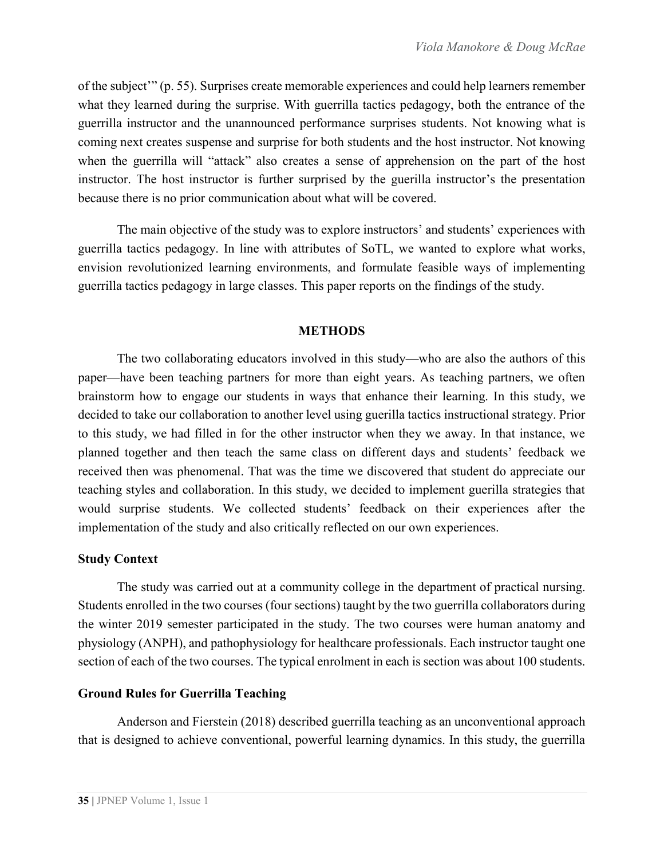of the subject'" (p. 55). Surprises create memorable experiences and could help learners remember what they learned during the surprise. With guerrilla tactics pedagogy, both the entrance of the guerrilla instructor and the unannounced performance surprises students. Not knowing what is coming next creates suspense and surprise for both students and the host instructor. Not knowing when the guerrilla will "attack" also creates a sense of apprehension on the part of the host instructor. The host instructor is further surprised by the guerilla instructor's the presentation because there is no prior communication about what will be covered.

The main objective of the study was to explore instructors' and students' experiences with guerrilla tactics pedagogy. In line with attributes of SoTL, we wanted to explore what works, envision revolutionized learning environments, and formulate feasible ways of implementing guerrilla tactics pedagogy in large classes. This paper reports on the findings of the study.

## **METHODS**

The two collaborating educators involved in this study—who are also the authors of this paper—have been teaching partners for more than eight years. As teaching partners, we often brainstorm how to engage our students in ways that enhance their learning. In this study, we decided to take our collaboration to another level using guerilla tactics instructional strategy. Prior to this study, we had filled in for the other instructor when they we away. In that instance, we planned together and then teach the same class on different days and students' feedback we received then was phenomenal. That was the time we discovered that student do appreciate our teaching styles and collaboration. In this study, we decided to implement guerilla strategies that would surprise students. We collected students' feedback on their experiences after the implementation of the study and also critically reflected on our own experiences.

## **Study Context**

The study was carried out at a community college in the department of practical nursing. Students enrolled in the two courses (four sections) taught by the two guerrilla collaborators during the winter 2019 semester participated in the study. The two courses were human anatomy and physiology (ANPH), and pathophysiology for healthcare professionals. Each instructor taught one section of each of the two courses. The typical enrolment in each is section was about 100 students.

## **Ground Rules for Guerrilla Teaching**

Anderson and Fierstein (2018) described guerrilla teaching as an unconventional approach that is designed to achieve conventional, powerful learning dynamics. In this study, the guerrilla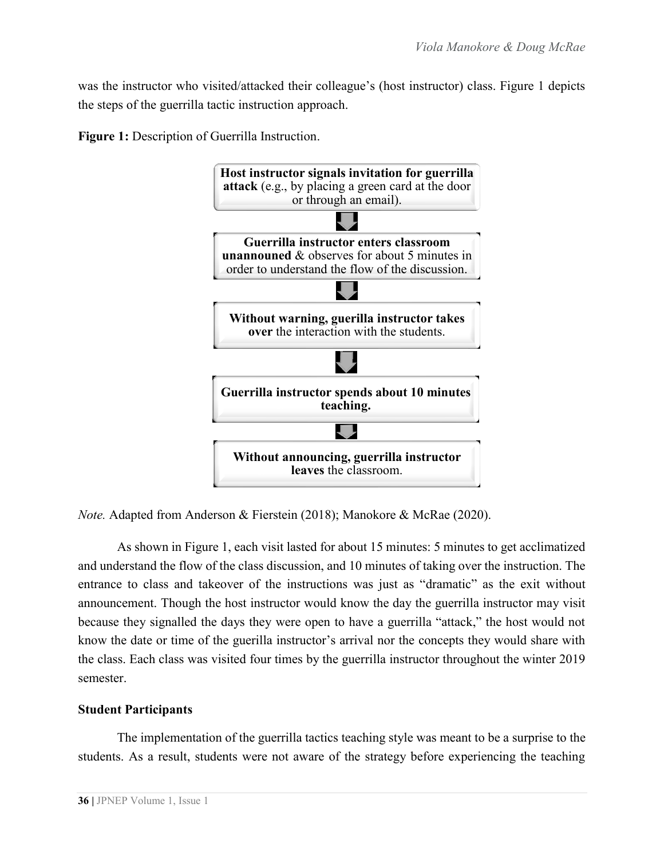was the instructor who visited/attacked their colleague's (host instructor) class. Figure 1 depicts the steps of the guerrilla tactic instruction approach.

**Figure 1:** Description of Guerrilla Instruction.



*Note.* Adapted from Anderson & Fierstein (2018); Manokore & McRae (2020).

As shown in Figure 1, each visit lasted for about 15 minutes: 5 minutes to get acclimatized and understand the flow of the class discussion, and 10 minutes of taking over the instruction. The entrance to class and takeover of the instructions was just as "dramatic" as the exit without announcement. Though the host instructor would know the day the guerrilla instructor may visit because they signalled the days they were open to have a guerrilla "attack," the host would not know the date or time of the guerilla instructor's arrival nor the concepts they would share with the class. Each class was visited four times by the guerrilla instructor throughout the winter 2019 semester.

#### **Student Participants**

The implementation of the guerrilla tactics teaching style was meant to be a surprise to the students. As a result, students were not aware of the strategy before experiencing the teaching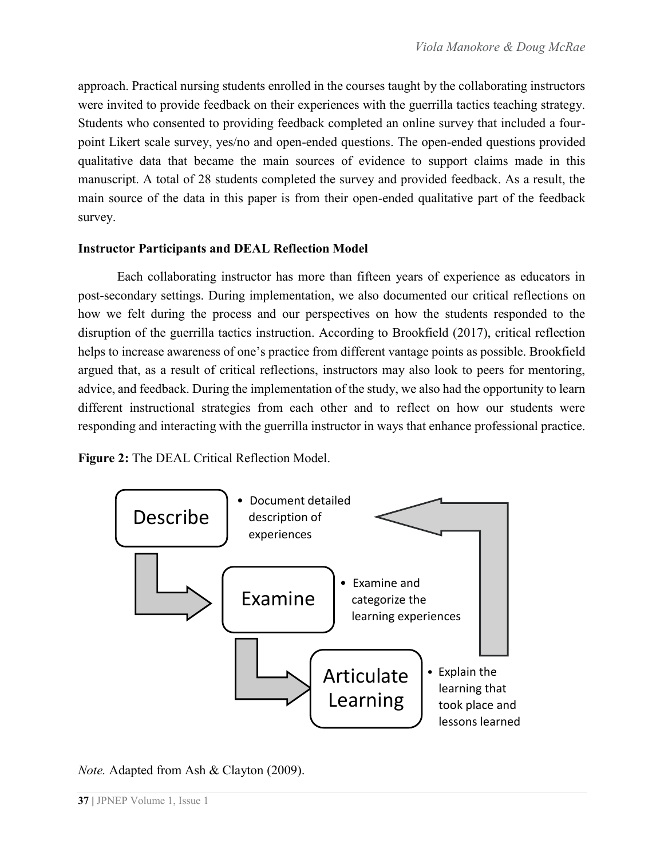approach. Practical nursing students enrolled in the courses taught by the collaborating instructors were invited to provide feedback on their experiences with the guerrilla tactics teaching strategy. Students who consented to providing feedback completed an online survey that included a fourpoint Likert scale survey, yes/no and open-ended questions. The open-ended questions provided qualitative data that became the main sources of evidence to support claims made in this manuscript. A total of 28 students completed the survey and provided feedback. As a result, the main source of the data in this paper is from their open-ended qualitative part of the feedback survey.

## **Instructor Participants and DEAL Reflection Model**

Each collaborating instructor has more than fifteen years of experience as educators in post-secondary settings. During implementation, we also documented our critical reflections on how we felt during the process and our perspectives on how the students responded to the disruption of the guerrilla tactics instruction. According to Brookfield (2017), critical reflection helps to increase awareness of one's practice from different vantage points as possible. Brookfield argued that, as a result of critical reflections, instructors may also look to peers for mentoring, advice, and feedback. During the implementation of the study, we also had the opportunity to learn different instructional strategies from each other and to reflect on how our students were responding and interacting with the guerrilla instructor in ways that enhance professional practice.

**Figure 2:** The DEAL Critical Reflection Model.



*Note.* Adapted from Ash & Clayton (2009).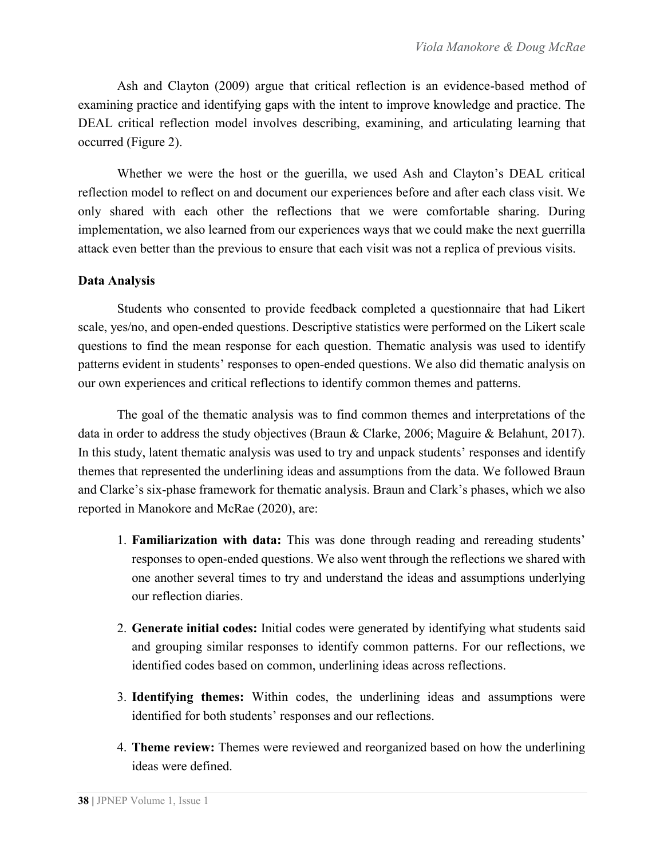Ash and Clayton (2009) argue that critical reflection is an evidence-based method of examining practice and identifying gaps with the intent to improve knowledge and practice. The DEAL critical reflection model involves describing, examining, and articulating learning that occurred (Figure 2).

Whether we were the host or the guerilla, we used Ash and Clayton's DEAL critical reflection model to reflect on and document our experiences before and after each class visit. We only shared with each other the reflections that we were comfortable sharing. During implementation, we also learned from our experiences ways that we could make the next guerrilla attack even better than the previous to ensure that each visit was not a replica of previous visits.

## **Data Analysis**

Students who consented to provide feedback completed a questionnaire that had Likert scale, yes/no, and open-ended questions. Descriptive statistics were performed on the Likert scale questions to find the mean response for each question. Thematic analysis was used to identify patterns evident in students' responses to open-ended questions. We also did thematic analysis on our own experiences and critical reflections to identify common themes and patterns.

The goal of the thematic analysis was to find common themes and interpretations of the data in order to address the study objectives (Braun & Clarke, 2006; Maguire & Belahunt, 2017). In this study, latent thematic analysis was used to try and unpack students' responses and identify themes that represented the underlining ideas and assumptions from the data. We followed Braun and Clarke's six-phase framework for thematic analysis. Braun and Clark's phases, which we also reported in Manokore and McRae (2020), are:

- 1. **Familiarization with data:** This was done through reading and rereading students' responses to open-ended questions. We also went through the reflections we shared with one another several times to try and understand the ideas and assumptions underlying our reflection diaries.
- 2. **Generate initial codes:** Initial codes were generated by identifying what students said and grouping similar responses to identify common patterns. For our reflections, we identified codes based on common, underlining ideas across reflections.
- 3. **Identifying themes:** Within codes, the underlining ideas and assumptions were identified for both students' responses and our reflections.
- 4. **Theme review:** Themes were reviewed and reorganized based on how the underlining ideas were defined.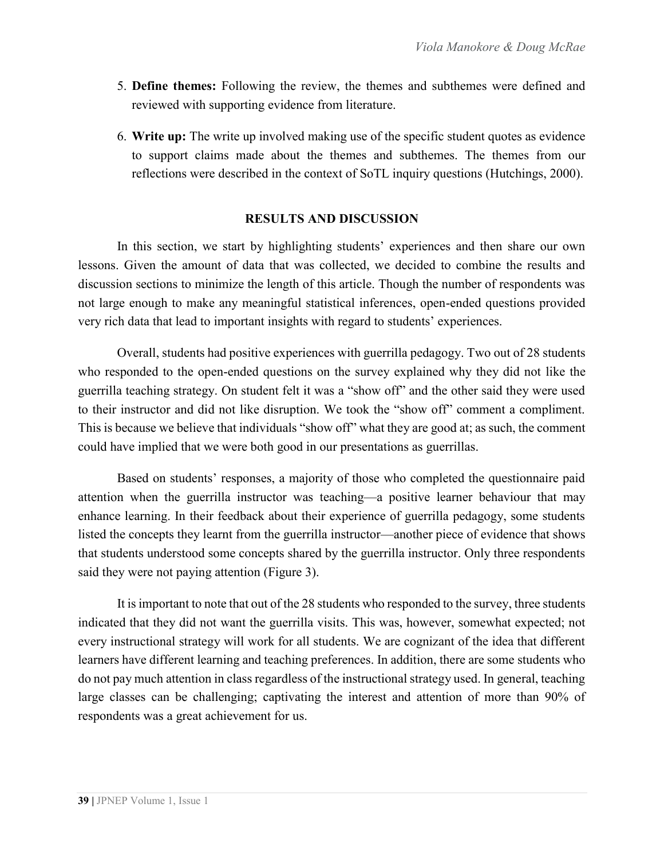- 5. **Define themes:** Following the review, the themes and subthemes were defined and reviewed with supporting evidence from literature.
- 6. **Write up:** The write up involved making use of the specific student quotes as evidence to support claims made about the themes and subthemes. The themes from our reflections were described in the context of SoTL inquiry questions (Hutchings, 2000).

## **RESULTS AND DISCUSSION**

In this section, we start by highlighting students' experiences and then share our own lessons. Given the amount of data that was collected, we decided to combine the results and discussion sections to minimize the length of this article. Though the number of respondents was not large enough to make any meaningful statistical inferences, open-ended questions provided very rich data that lead to important insights with regard to students' experiences.

Overall, students had positive experiences with guerrilla pedagogy. Two out of 28 students who responded to the open-ended questions on the survey explained why they did not like the guerrilla teaching strategy. On student felt it was a "show off" and the other said they were used to their instructor and did not like disruption. We took the "show off" comment a compliment. This is because we believe that individuals "show off" what they are good at; as such, the comment could have implied that we were both good in our presentations as guerrillas.

Based on students' responses, a majority of those who completed the questionnaire paid attention when the guerrilla instructor was teaching—a positive learner behaviour that may enhance learning. In their feedback about their experience of guerrilla pedagogy, some students listed the concepts they learnt from the guerrilla instructor—another piece of evidence that shows that students understood some concepts shared by the guerrilla instructor. Only three respondents said they were not paying attention (Figure 3).

It is important to note that out of the 28 students who responded to the survey, three students indicated that they did not want the guerrilla visits. This was, however, somewhat expected; not every instructional strategy will work for all students. We are cognizant of the idea that different learners have different learning and teaching preferences. In addition, there are some students who do not pay much attention in class regardless of the instructional strategy used. In general, teaching large classes can be challenging; captivating the interest and attention of more than 90% of respondents was a great achievement for us.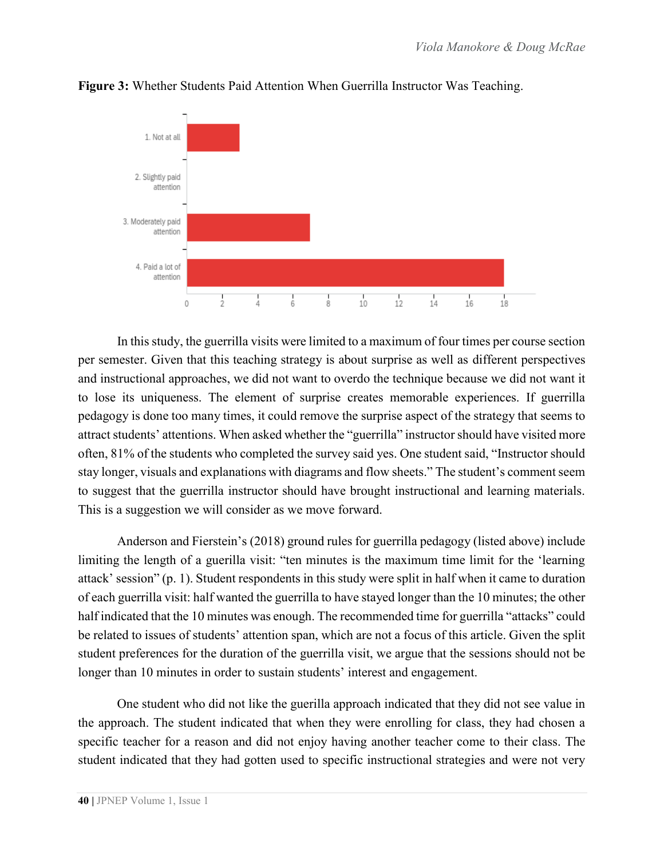

**Figure 3:** Whether Students Paid Attention When Guerrilla Instructor Was Teaching.

In this study, the guerrilla visits were limited to a maximum of four times per course section per semester. Given that this teaching strategy is about surprise as well as different perspectives and instructional approaches, we did not want to overdo the technique because we did not want it to lose its uniqueness. The element of surprise creates memorable experiences. If guerrilla pedagogy is done too many times, it could remove the surprise aspect of the strategy that seems to attract students' attentions. When asked whether the "guerrilla" instructor should have visited more often, 81% of the students who completed the survey said yes. One student said, "Instructor should stay longer, visuals and explanations with diagrams and flow sheets." The student's comment seem to suggest that the guerrilla instructor should have brought instructional and learning materials. This is a suggestion we will consider as we move forward.

Anderson and Fierstein's (2018) ground rules for guerrilla pedagogy (listed above) include limiting the length of a guerilla visit: "ten minutes is the maximum time limit for the 'learning attack' session" (p. 1). Student respondents in this study were split in half when it came to duration of each guerrilla visit: half wanted the guerrilla to have stayed longer than the 10 minutes; the other half indicated that the 10 minutes was enough. The recommended time for guerrilla "attacks" could be related to issues of students' attention span, which are not a focus of this article. Given the split student preferences for the duration of the guerrilla visit, we argue that the sessions should not be longer than 10 minutes in order to sustain students' interest and engagement.

One student who did not like the guerilla approach indicated that they did not see value in the approach. The student indicated that when they were enrolling for class, they had chosen a specific teacher for a reason and did not enjoy having another teacher come to their class. The student indicated that they had gotten used to specific instructional strategies and were not very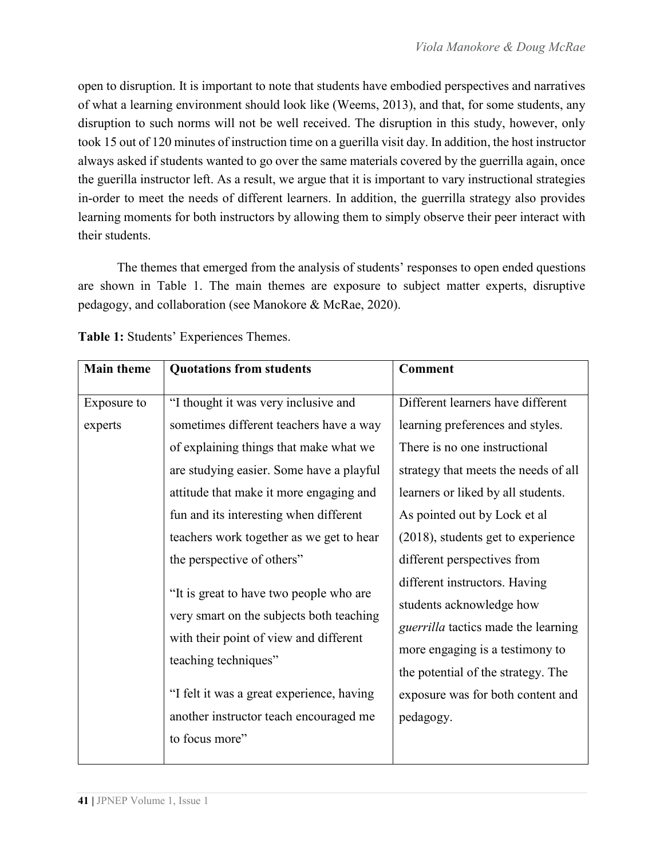open to disruption. It is important to note that students have embodied perspectives and narratives of what a learning environment should look like (Weems, 2013), and that, for some students, any disruption to such norms will not be well received. The disruption in this study, however, only took 15 out of 120 minutes of instruction time on a guerilla visit day. In addition, the host instructor always asked if students wanted to go over the same materials covered by the guerrilla again, once the guerilla instructor left. As a result, we argue that it is important to vary instructional strategies in-order to meet the needs of different learners. In addition, the guerrilla strategy also provides learning moments for both instructors by allowing them to simply observe their peer interact with their students.

The themes that emerged from the analysis of students' responses to open ended questions are shown in Table 1. The main themes are exposure to subject matter experts, disruptive pedagogy, and collaboration (see Manokore & McRae, 2020).

| <b>Main theme</b>      | <b>Quotations from students</b>                                                                                                                                                                                                                                                                                                      | <b>Comment</b>                                                                                                                                                                                                                                                                                                             |
|------------------------|--------------------------------------------------------------------------------------------------------------------------------------------------------------------------------------------------------------------------------------------------------------------------------------------------------------------------------------|----------------------------------------------------------------------------------------------------------------------------------------------------------------------------------------------------------------------------------------------------------------------------------------------------------------------------|
| Exposure to<br>experts | "I thought it was very inclusive and<br>sometimes different teachers have a way<br>of explaining things that make what we<br>are studying easier. Some have a playful<br>attitude that make it more engaging and<br>fun and its interesting when different<br>teachers work together as we get to hear<br>the perspective of others" | Different learners have different<br>learning preferences and styles.<br>There is no one instructional<br>strategy that meets the needs of all<br>learners or liked by all students.<br>As pointed out by Lock et al<br>(2018), students get to experience<br>different perspectives from<br>different instructors. Having |
|                        | "It is great to have two people who are<br>very smart on the subjects both teaching<br>with their point of view and different<br>teaching techniques"<br>"I felt it was a great experience, having<br>another instructor teach encouraged me<br>to focus more"                                                                       | students acknowledge how<br><i>guerrilla</i> tactics made the learning<br>more engaging is a testimony to<br>the potential of the strategy. The<br>exposure was for both content and<br>pedagogy.                                                                                                                          |

**Table 1:** Students' Experiences Themes.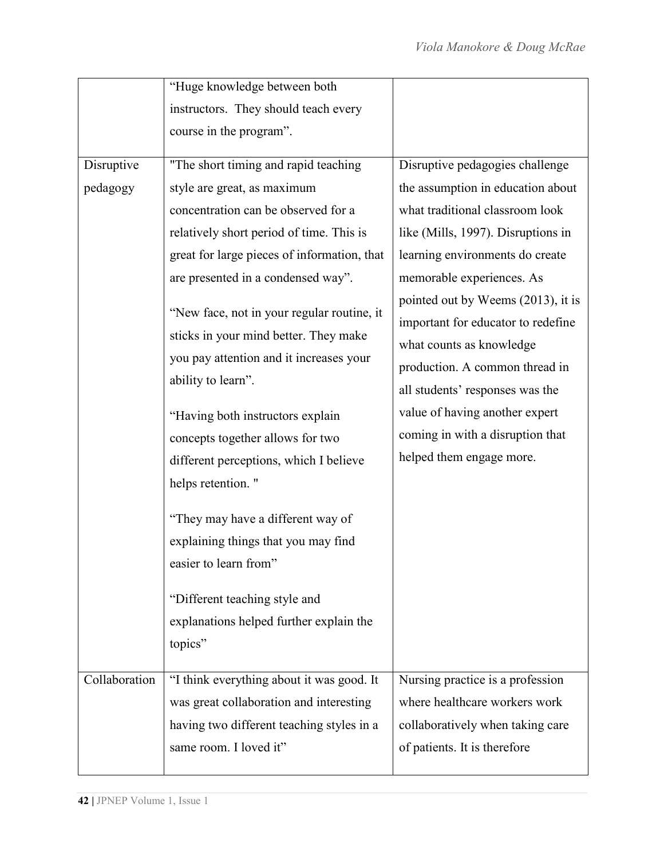|               | "Huge knowledge between both                |                                    |
|---------------|---------------------------------------------|------------------------------------|
|               | instructors. They should teach every        |                                    |
|               | course in the program".                     |                                    |
| Disruptive    | "The short timing and rapid teaching        | Disruptive pedagogies challenge    |
|               |                                             |                                    |
| pedagogy      | style are great, as maximum                 | the assumption in education about  |
|               | concentration can be observed for a         | what traditional classroom look    |
|               | relatively short period of time. This is    | like (Mills, 1997). Disruptions in |
|               | great for large pieces of information, that | learning environments do create    |
|               | are presented in a condensed way".          | memorable experiences. As          |
|               | "New face, not in your regular routine, it  | pointed out by Weems (2013), it is |
|               | sticks in your mind better. They make       | important for educator to redefine |
|               | you pay attention and it increases your     | what counts as knowledge           |
|               |                                             | production. A common thread in     |
|               | ability to learn".                          | all students' responses was the    |
|               | "Having both instructors explain            | value of having another expert     |
|               | concepts together allows for two            | coming in with a disruption that   |
|               | different perceptions, which I believe      | helped them engage more.           |
|               | helps retention."                           |                                    |
|               |                                             |                                    |
|               | "They may have a different way of           |                                    |
|               | explaining things that you may find         |                                    |
|               | easier to learn from"                       |                                    |
|               |                                             |                                    |
|               | "Different teaching style and               |                                    |
|               | explanations helped further explain the     |                                    |
|               | topics"                                     |                                    |
| Collaboration | "I think everything about it was good. It   | Nursing practice is a profession   |
|               | was great collaboration and interesting     | where healthcare workers work      |
|               | having two different teaching styles in a   | collaboratively when taking care   |
|               | same room. I loved it"                      | of patients. It is therefore       |
|               |                                             |                                    |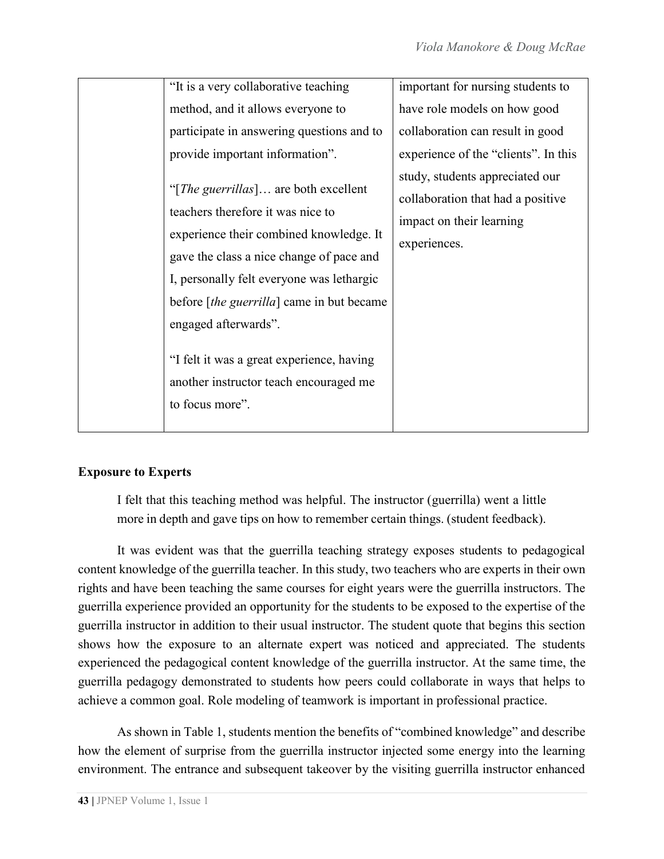| "It is a very collaborative teaching<br>important for nursing students to<br>method, and it allows everyone to<br>have role models on how good<br>participate in answering questions and to<br>collaboration can result in good<br>provide important information".<br>experience of the "clients". In this<br>study, students appreciated our<br>"[ <i>The guerrillas</i> ] are both excellent<br>collaboration that had a positive<br>teachers therefore it was nice to<br>impact on their learning<br>experience their combined knowledge. It<br>experiences.<br>gave the class a nice change of pace and<br>I, personally felt everyone was lethargic<br>before [the guerrilla] came in but became<br>engaged afterwards".<br>"I felt it was a great experience, having<br>another instructor teach encouraged me<br>to focus more". |  |  |
|-----------------------------------------------------------------------------------------------------------------------------------------------------------------------------------------------------------------------------------------------------------------------------------------------------------------------------------------------------------------------------------------------------------------------------------------------------------------------------------------------------------------------------------------------------------------------------------------------------------------------------------------------------------------------------------------------------------------------------------------------------------------------------------------------------------------------------------------|--|--|
|                                                                                                                                                                                                                                                                                                                                                                                                                                                                                                                                                                                                                                                                                                                                                                                                                                         |  |  |
|                                                                                                                                                                                                                                                                                                                                                                                                                                                                                                                                                                                                                                                                                                                                                                                                                                         |  |  |
|                                                                                                                                                                                                                                                                                                                                                                                                                                                                                                                                                                                                                                                                                                                                                                                                                                         |  |  |
|                                                                                                                                                                                                                                                                                                                                                                                                                                                                                                                                                                                                                                                                                                                                                                                                                                         |  |  |
|                                                                                                                                                                                                                                                                                                                                                                                                                                                                                                                                                                                                                                                                                                                                                                                                                                         |  |  |
|                                                                                                                                                                                                                                                                                                                                                                                                                                                                                                                                                                                                                                                                                                                                                                                                                                         |  |  |

# **Exposure to Experts**

I felt that this teaching method was helpful. The instructor (guerrilla) went a little more in depth and gave tips on how to remember certain things. (student feedback).

It was evident was that the guerrilla teaching strategy exposes students to pedagogical content knowledge of the guerrilla teacher. In this study, two teachers who are experts in their own rights and have been teaching the same courses for eight years were the guerrilla instructors. The guerrilla experience provided an opportunity for the students to be exposed to the expertise of the guerrilla instructor in addition to their usual instructor. The student quote that begins this section shows how the exposure to an alternate expert was noticed and appreciated. The students experienced the pedagogical content knowledge of the guerrilla instructor. At the same time, the guerrilla pedagogy demonstrated to students how peers could collaborate in ways that helps to achieve a common goal. Role modeling of teamwork is important in professional practice.

As shown in Table 1, students mention the benefits of "combined knowledge" and describe how the element of surprise from the guerrilla instructor injected some energy into the learning environment. The entrance and subsequent takeover by the visiting guerrilla instructor enhanced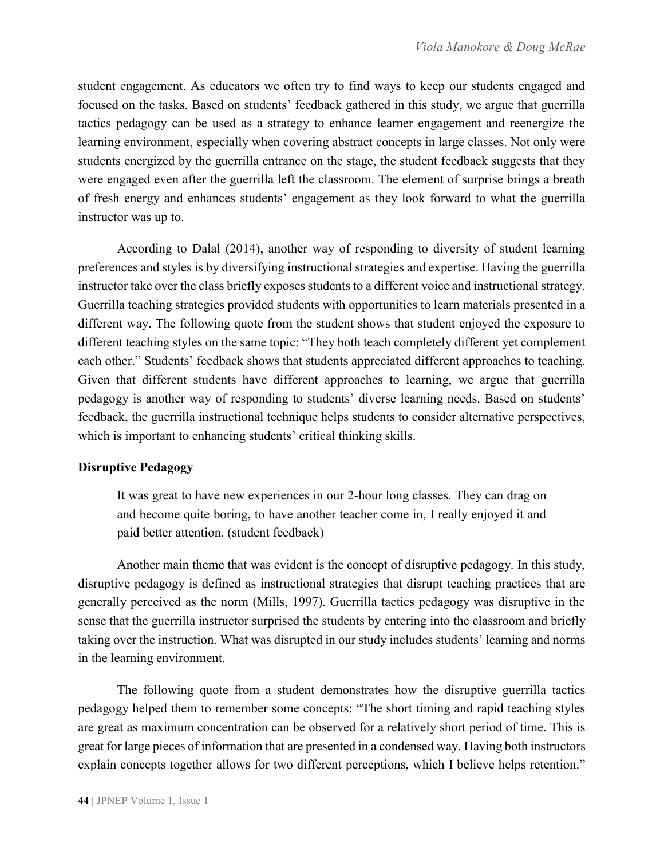student engagement. As educators we often try to find ways to keep our students engaged and focused on the tasks. Based on students' feedback gathered in this study, we argue that guerrilla tactics pedagogy can be used as a strategy to enhance learner engagement and reenergize the learning environment, especially when covering abstract concepts in large classes. Not only were students energized by the guerrilla entrance on the stage, the student feedback suggests that they were engaged even after the guerrilla left the classroom. The element of surprise brings a breath of fresh energy and enhances students' engagement as they look forward to what the guerrilla instructor was up to.

According to Dalal (2014), another way of responding to diversity of student learning preferences and styles is by diversifying instructional strategies and expertise. Having the guerrilla instructor take over the class briefly exposes students to a different voice and instructional strategy. Guerrilla teaching strategies provided students with opportunities to learn materials presented in a different way. The following quote from the student shows that student enjoyed the exposure to different teaching styles on the same topic: "They both teach completely different yet complement each other." Students' feedback shows that students appreciated different approaches to teaching. Given that different students have different approaches to learning, we argue that guerrilla pedagogy is another way of responding to students' diverse learning needs. Based on students' feedback, the guerrilla instructional technique helps students to consider alternative perspectives, which is important to enhancing students' critical thinking skills.

## **Disruptive Pedagogy**

It was great to have new experiences in our 2-hour long classes. They can drag on and become quite boring, to have another teacher come in, I really enjoyed it and paid better attention. (student feedback)

Another main theme that was evident is the concept of disruptive pedagogy. In this study, disruptive pedagogy is defined as instructional strategies that disrupt teaching practices that are generally perceived as the norm (Mills, 1997). Guerrilla tactics pedagogy was disruptive in the sense that the guerrilla instructor surprised the students by entering into the classroom and briefly taking over the instruction. What was disrupted in our study includes students' learning and norms in the learning environment.

The following quote from a student demonstrates how the disruptive guerrilla tactics pedagogy helped them to remember some concepts: "The short timing and rapid teaching styles are great as maximum concentration can be observed for a relatively short period of time. This is great for large pieces of information that are presented in a condensed way. Having both instructors explain concepts together allows for two different perceptions, which I believe helps retention."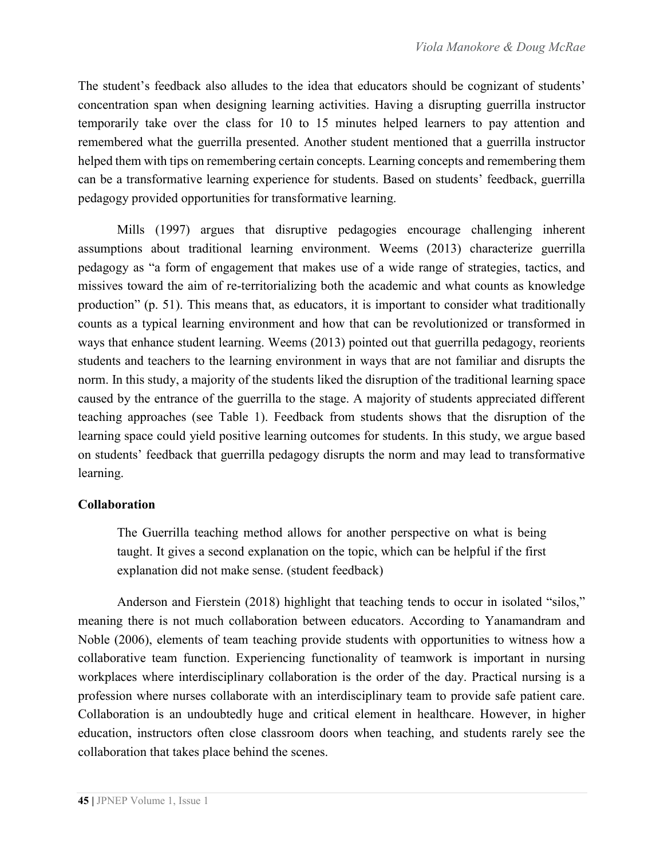The student's feedback also alludes to the idea that educators should be cognizant of students' concentration span when designing learning activities. Having a disrupting guerrilla instructor temporarily take over the class for 10 to 15 minutes helped learners to pay attention and remembered what the guerrilla presented. Another student mentioned that a guerrilla instructor helped them with tips on remembering certain concepts. Learning concepts and remembering them can be a transformative learning experience for students. Based on students' feedback, guerrilla pedagogy provided opportunities for transformative learning.

Mills (1997) argues that disruptive pedagogies encourage challenging inherent assumptions about traditional learning environment. Weems (2013) characterize guerrilla pedagogy as "a form of engagement that makes use of a wide range of strategies, tactics, and missives toward the aim of re-territorializing both the academic and what counts as knowledge production" (p. 51). This means that, as educators, it is important to consider what traditionally counts as a typical learning environment and how that can be revolutionized or transformed in ways that enhance student learning. Weems (2013) pointed out that guerrilla pedagogy, reorients students and teachers to the learning environment in ways that are not familiar and disrupts the norm. In this study, a majority of the students liked the disruption of the traditional learning space caused by the entrance of the guerrilla to the stage. A majority of students appreciated different teaching approaches (see Table 1). Feedback from students shows that the disruption of the learning space could yield positive learning outcomes for students. In this study, we argue based on students' feedback that guerrilla pedagogy disrupts the norm and may lead to transformative learning.

# **Collaboration**

The Guerrilla teaching method allows for another perspective on what is being taught. It gives a second explanation on the topic, which can be helpful if the first explanation did not make sense. (student feedback)

Anderson and Fierstein (2018) highlight that teaching tends to occur in isolated "silos," meaning there is not much collaboration between educators. According to Yanamandram and Noble (2006), elements of team teaching provide students with opportunities to witness how a collaborative team function. Experiencing functionality of teamwork is important in nursing workplaces where interdisciplinary collaboration is the order of the day. Practical nursing is a profession where nurses collaborate with an interdisciplinary team to provide safe patient care. Collaboration is an undoubtedly huge and critical element in healthcare. However, in higher education, instructors often close classroom doors when teaching, and students rarely see the collaboration that takes place behind the scenes.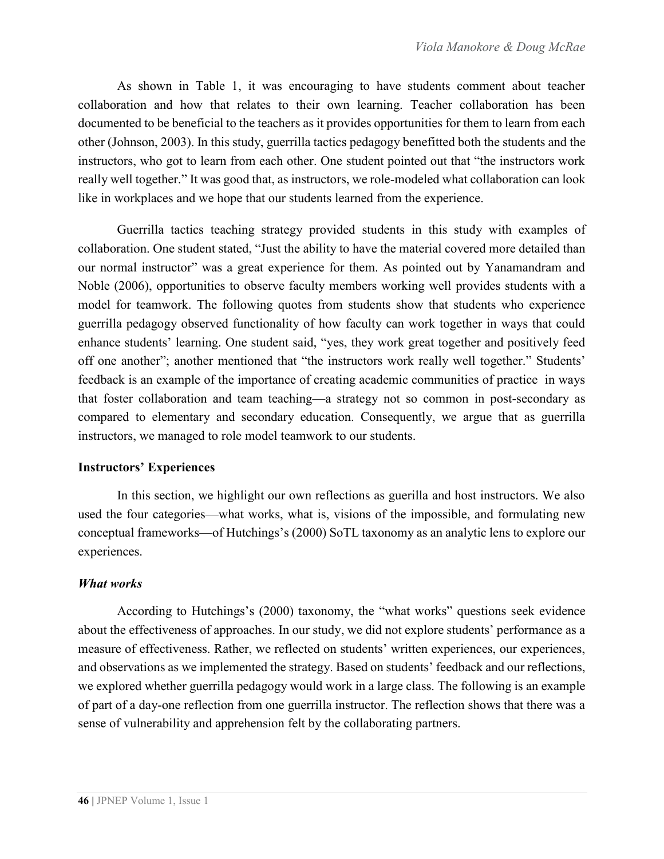As shown in Table 1, it was encouraging to have students comment about teacher collaboration and how that relates to their own learning. Teacher collaboration has been documented to be beneficial to the teachers as it provides opportunities for them to learn from each other (Johnson, 2003). In this study, guerrilla tactics pedagogy benefitted both the students and the instructors, who got to learn from each other. One student pointed out that "the instructors work really well together." It was good that, as instructors, we role-modeled what collaboration can look like in workplaces and we hope that our students learned from the experience.

Guerrilla tactics teaching strategy provided students in this study with examples of collaboration. One student stated, "Just the ability to have the material covered more detailed than our normal instructor" was a great experience for them. As pointed out by Yanamandram and Noble (2006), opportunities to observe faculty members working well provides students with a model for teamwork. The following quotes from students show that students who experience guerrilla pedagogy observed functionality of how faculty can work together in ways that could enhance students' learning. One student said, "yes, they work great together and positively feed off one another"; another mentioned that "the instructors work really well together." Students' feedback is an example of the importance of creating academic communities of practice in ways that foster collaboration and team teaching—a strategy not so common in post-secondary as compared to elementary and secondary education. Consequently, we argue that as guerrilla instructors, we managed to role model teamwork to our students.

## **Instructors' Experiences**

In this section, we highlight our own reflections as guerilla and host instructors. We also used the four categories—what works, what is, visions of the impossible, and formulating new conceptual frameworks—of Hutchings's (2000) SoTL taxonomy as an analytic lens to explore our experiences.

## *What works*

According to Hutchings's (2000) taxonomy, the "what works" questions seek evidence about the effectiveness of approaches. In our study, we did not explore students' performance as a measure of effectiveness. Rather, we reflected on students' written experiences, our experiences, and observations as we implemented the strategy. Based on students' feedback and our reflections, we explored whether guerrilla pedagogy would work in a large class. The following is an example of part of a day-one reflection from one guerrilla instructor. The reflection shows that there was a sense of vulnerability and apprehension felt by the collaborating partners.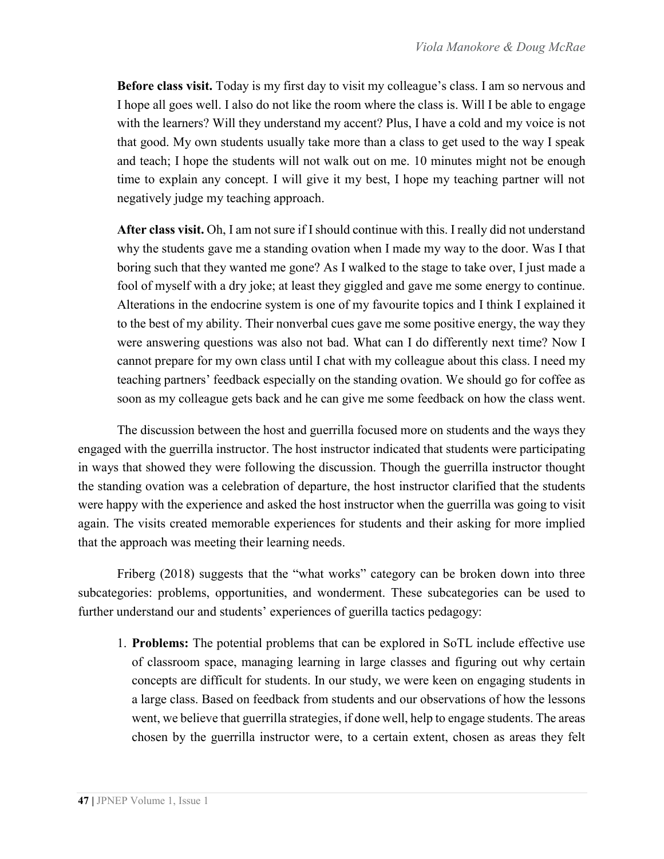**Before class visit.** Today is my first day to visit my colleague's class. I am so nervous and I hope all goes well. I also do not like the room where the class is. Will I be able to engage with the learners? Will they understand my accent? Plus, I have a cold and my voice is not that good. My own students usually take more than a class to get used to the way I speak and teach; I hope the students will not walk out on me. 10 minutes might not be enough time to explain any concept. I will give it my best, I hope my teaching partner will not negatively judge my teaching approach.

**After class visit.** Oh, I am not sure if I should continue with this. I really did not understand why the students gave me a standing ovation when I made my way to the door. Was I that boring such that they wanted me gone? As I walked to the stage to take over, I just made a fool of myself with a dry joke; at least they giggled and gave me some energy to continue. Alterations in the endocrine system is one of my favourite topics and I think I explained it to the best of my ability. Their nonverbal cues gave me some positive energy, the way they were answering questions was also not bad. What can I do differently next time? Now I cannot prepare for my own class until I chat with my colleague about this class. I need my teaching partners' feedback especially on the standing ovation. We should go for coffee as soon as my colleague gets back and he can give me some feedback on how the class went.

The discussion between the host and guerrilla focused more on students and the ways they engaged with the guerrilla instructor. The host instructor indicated that students were participating in ways that showed they were following the discussion. Though the guerrilla instructor thought the standing ovation was a celebration of departure, the host instructor clarified that the students were happy with the experience and asked the host instructor when the guerrilla was going to visit again. The visits created memorable experiences for students and their asking for more implied that the approach was meeting their learning needs.

Friberg (2018) suggests that the "what works" category can be broken down into three subcategories: problems, opportunities, and wonderment. These subcategories can be used to further understand our and students' experiences of guerilla tactics pedagogy:

1. **Problems:** The potential problems that can be explored in SoTL include effective use of classroom space, managing learning in large classes and figuring out why certain concepts are difficult for students. In our study, we were keen on engaging students in a large class. Based on feedback from students and our observations of how the lessons went, we believe that guerrilla strategies, if done well, help to engage students. The areas chosen by the guerrilla instructor were, to a certain extent, chosen as areas they felt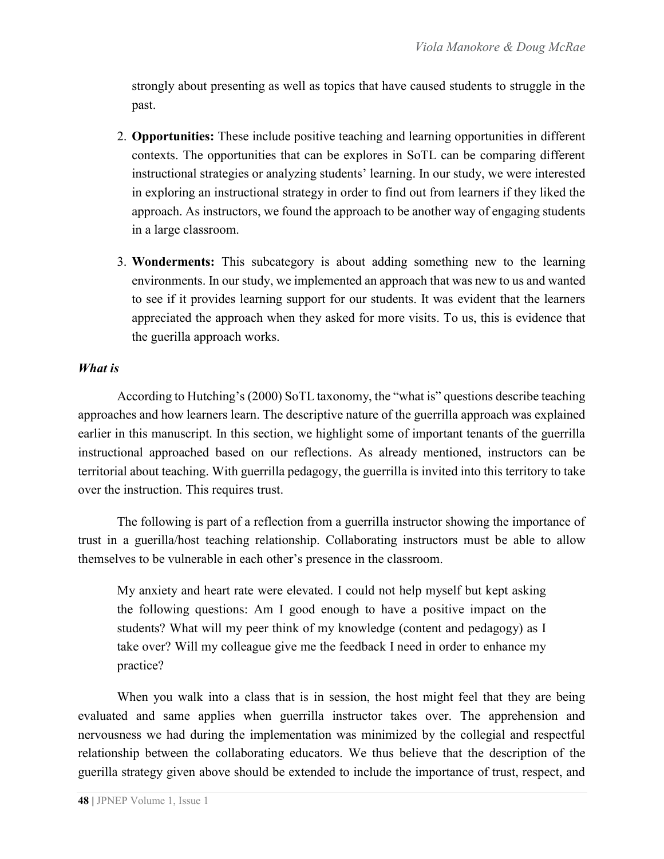strongly about presenting as well as topics that have caused students to struggle in the past.

- 2. **Opportunities:** These include positive teaching and learning opportunities in different contexts. The opportunities that can be explores in SoTL can be comparing different instructional strategies or analyzing students' learning. In our study, we were interested in exploring an instructional strategy in order to find out from learners if they liked the approach. As instructors, we found the approach to be another way of engaging students in a large classroom.
- 3. **Wonderments:** This subcategory is about adding something new to the learning environments. In our study, we implemented an approach that was new to us and wanted to see if it provides learning support for our students. It was evident that the learners appreciated the approach when they asked for more visits. To us, this is evidence that the guerilla approach works.

#### *What is*

According to Hutching's (2000) SoTL taxonomy, the "what is" questions describe teaching approaches and how learners learn. The descriptive nature of the guerrilla approach was explained earlier in this manuscript. In this section, we highlight some of important tenants of the guerrilla instructional approached based on our reflections. As already mentioned, instructors can be territorial about teaching. With guerrilla pedagogy, the guerrilla is invited into this territory to take over the instruction. This requires trust.

The following is part of a reflection from a guerrilla instructor showing the importance of trust in a guerilla/host teaching relationship. Collaborating instructors must be able to allow themselves to be vulnerable in each other's presence in the classroom.

My anxiety and heart rate were elevated. I could not help myself but kept asking the following questions: Am I good enough to have a positive impact on the students? What will my peer think of my knowledge (content and pedagogy) as I take over? Will my colleague give me the feedback I need in order to enhance my practice?

When you walk into a class that is in session, the host might feel that they are being evaluated and same applies when guerrilla instructor takes over. The apprehension and nervousness we had during the implementation was minimized by the collegial and respectful relationship between the collaborating educators. We thus believe that the description of the guerilla strategy given above should be extended to include the importance of trust, respect, and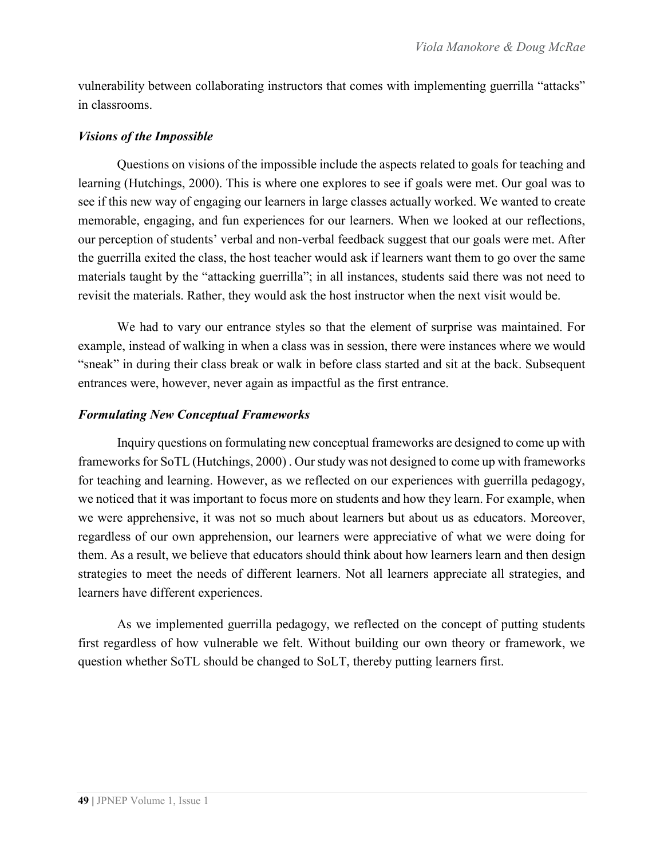vulnerability between collaborating instructors that comes with implementing guerrilla "attacks" in classrooms.

#### *Visions of the Impossible*

Questions on visions of the impossible include the aspects related to goals for teaching and learning (Hutchings, 2000). This is where one explores to see if goals were met. Our goal was to see if this new way of engaging our learners in large classes actually worked. We wanted to create memorable, engaging, and fun experiences for our learners. When we looked at our reflections, our perception of students' verbal and non-verbal feedback suggest that our goals were met. After the guerrilla exited the class, the host teacher would ask if learners want them to go over the same materials taught by the "attacking guerrilla"; in all instances, students said there was not need to revisit the materials. Rather, they would ask the host instructor when the next visit would be.

We had to vary our entrance styles so that the element of surprise was maintained. For example, instead of walking in when a class was in session, there were instances where we would "sneak" in during their class break or walk in before class started and sit at the back. Subsequent entrances were, however, never again as impactful as the first entrance.

#### *Formulating New Conceptual Frameworks*

Inquiry questions on formulating new conceptual frameworks are designed to come up with frameworks for SoTL (Hutchings, 2000) . Our study was not designed to come up with frameworks for teaching and learning. However, as we reflected on our experiences with guerrilla pedagogy, we noticed that it was important to focus more on students and how they learn. For example, when we were apprehensive, it was not so much about learners but about us as educators. Moreover, regardless of our own apprehension, our learners were appreciative of what we were doing for them. As a result, we believe that educators should think about how learners learn and then design strategies to meet the needs of different learners. Not all learners appreciate all strategies, and learners have different experiences.

As we implemented guerrilla pedagogy, we reflected on the concept of putting students first regardless of how vulnerable we felt. Without building our own theory or framework, we question whether SoTL should be changed to SoLT, thereby putting learners first.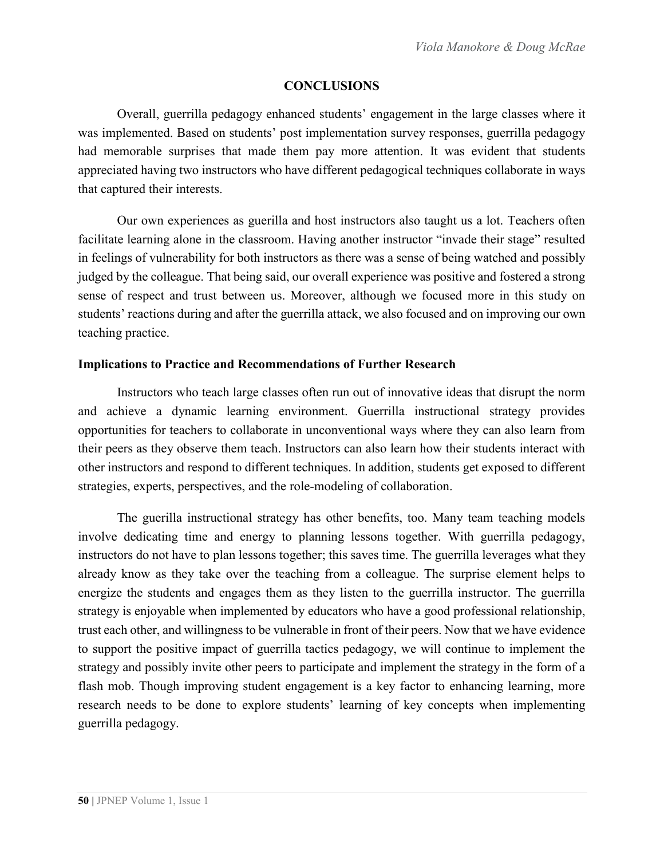#### **CONCLUSIONS**

Overall, guerrilla pedagogy enhanced students' engagement in the large classes where it was implemented. Based on students' post implementation survey responses, guerrilla pedagogy had memorable surprises that made them pay more attention. It was evident that students appreciated having two instructors who have different pedagogical techniques collaborate in ways that captured their interests.

Our own experiences as guerilla and host instructors also taught us a lot. Teachers often facilitate learning alone in the classroom. Having another instructor "invade their stage" resulted in feelings of vulnerability for both instructors as there was a sense of being watched and possibly judged by the colleague. That being said, our overall experience was positive and fostered a strong sense of respect and trust between us. Moreover, although we focused more in this study on students' reactions during and after the guerrilla attack, we also focused and on improving our own teaching practice.

#### **Implications to Practice and Recommendations of Further Research**

Instructors who teach large classes often run out of innovative ideas that disrupt the norm and achieve a dynamic learning environment. Guerrilla instructional strategy provides opportunities for teachers to collaborate in unconventional ways where they can also learn from their peers as they observe them teach. Instructors can also learn how their students interact with other instructors and respond to different techniques. In addition, students get exposed to different strategies, experts, perspectives, and the role-modeling of collaboration.

The guerilla instructional strategy has other benefits, too. Many team teaching models involve dedicating time and energy to planning lessons together. With guerrilla pedagogy, instructors do not have to plan lessons together; this saves time. The guerrilla leverages what they already know as they take over the teaching from a colleague. The surprise element helps to energize the students and engages them as they listen to the guerrilla instructor. The guerrilla strategy is enjoyable when implemented by educators who have a good professional relationship, trust each other, and willingness to be vulnerable in front of their peers. Now that we have evidence to support the positive impact of guerrilla tactics pedagogy, we will continue to implement the strategy and possibly invite other peers to participate and implement the strategy in the form of a flash mob. Though improving student engagement is a key factor to enhancing learning, more research needs to be done to explore students' learning of key concepts when implementing guerrilla pedagogy.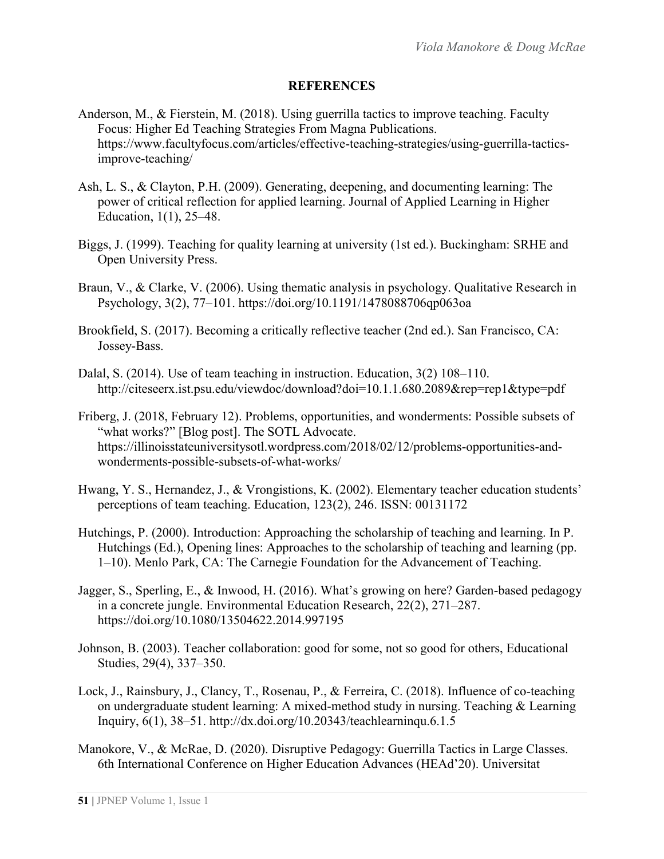#### **REFERENCES**

- Anderson, M., & Fierstein, M. (2018). Using guerrilla tactics to improve teaching. Faculty Focus: Higher Ed Teaching Strategies From Magna Publications. https://www.facultyfocus.com/articles/effective-teaching-strategies/using-guerrilla-tacticsimprove-teaching/
- Ash, L. S., & Clayton, P.H. (2009). Generating, deepening, and documenting learning: The power of critical reflection for applied learning. Journal of Applied Learning in Higher Education, 1(1), 25–48.
- Biggs, J. (1999). Teaching for quality learning at university (1st ed.). Buckingham: SRHE and Open University Press.
- Braun, V., & Clarke, V. (2006). Using thematic analysis in psychology. Qualitative Research in Psychology, 3(2), 77–101. https://doi.org/10.1191/1478088706qp063oa
- Brookfield, S. (2017). Becoming a critically reflective teacher (2nd ed.). San Francisco, CA: Jossey-Bass.
- Dalal, S. (2014). Use of team teaching in instruction. Education, 3(2) 108–110. http://citeseerx.ist.psu.edu/viewdoc/download?doi=10.1.1.680.2089&rep=rep1&type=pdf
- Friberg, J. (2018, February 12). Problems, opportunities, and wonderments: Possible subsets of "what works?" [Blog post]. The SOTL Advocate. https://illinoisstateuniversitysotl.wordpress.com/2018/02/12/problems-opportunities-andwonderments-possible-subsets-of-what-works/
- Hwang, Y. S., Hernandez, J., & Vrongistions, K. (2002). Elementary teacher education students' perceptions of team teaching. Education, 123(2), 246. ISSN: 00131172
- Hutchings, P. (2000). Introduction: Approaching the scholarship of teaching and learning. In P. Hutchings (Ed.), Opening lines: Approaches to the scholarship of teaching and learning (pp. 1–10). Menlo Park, CA: The Carnegie Foundation for the Advancement of Teaching.
- Jagger, S., Sperling, E., & Inwood, H. (2016). What's growing on here? Garden-based pedagogy in a concrete jungle. Environmental Education Research, 22(2), 271–287. https://doi.org/10.1080/13504622.2014.997195
- Johnson, B. (2003). Teacher collaboration: good for some, not so good for others, Educational Studies, 29(4), 337–350.
- Lock, J., Rainsbury, J., Clancy, T., Rosenau, P., & Ferreira, C. (2018). Influence of co-teaching on undergraduate student learning: A mixed-method study in nursing. Teaching & Learning Inquiry, 6(1), 38–51. http://dx.doi.org/10.20343/teachlearninqu.6.1.5
- Manokore, V., & McRae, D. (2020). Disruptive Pedagogy: Guerrilla Tactics in Large Classes. 6th International Conference on Higher Education Advances (HEAd'20). Universitat